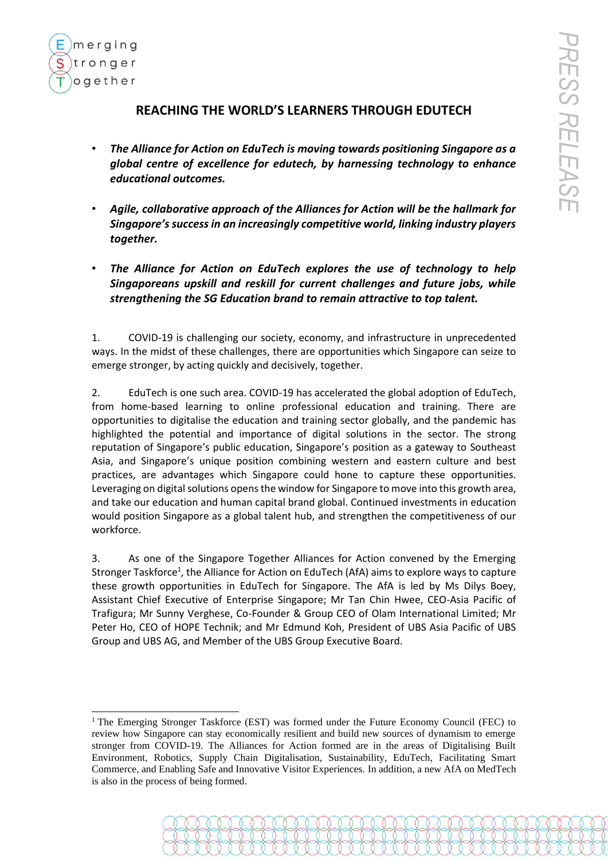

## **REACHING THE WORLD'S LEARNERS THROUGH EDUTECH**

- *The Alliance for Action on EduTech is moving towards positioning Singapore as a global centre of excellence for edutech, by harnessing technology to enhance educational outcomes.*
- *Agile, collaborative approach of the Alliances for Action will be the hallmark for Singapore's success in an increasingly competitive world, linking industry players together.*
- *The Alliance for Action on EduTech explores the use of technology to help Singaporeans upskill and reskill for current challenges and future jobs, while strengthening the SG Education brand to remain attractive to top talent.*

1. COVID-19 is challenging our society, economy, and infrastructure in unprecedented ways. In the midst of these challenges, there are opportunities which Singapore can seize to emerge stronger, by acting quickly and decisively, together.

2. EduTech is one such area. COVID-19 has accelerated the global adoption of EduTech, from home-based learning to online professional education and training. There are opportunities to digitalise the education and training sector globally, and the pandemic has highlighted the potential and importance of digital solutions in the sector. The strong reputation of Singapore's public education, Singapore's position as a gateway to Southeast Asia, and Singapore's unique position combining western and eastern culture and best practices, are advantages which Singapore could hone to capture these opportunities. Leveraging on digital solutions opens the window for Singapore to move into this growth area, and take our education and human capital brand global. Continued investments in education would position Singapore as a global talent hub, and strengthen the competitiveness of our workforce.

3. As one of the Singapore Together Alliances for Action convened by the Emerging Stronger Taskforce<sup>1</sup>, the Alliance for Action on EduTech (AfA) aims to explore ways to capture these growth opportunities in EduTech for Singapore. The AfA is led by Ms Dilys Boey, Assistant Chief Executive of Enterprise Singapore; Mr Tan Chin Hwee, CEO-Asia Pacific of Trafigura; Mr Sunny Verghese, Co-Founder & Group CEO of Olam International Limited; Mr Peter Ho, CEO of HOPE Technik; and Mr Edmund Koh, President of UBS Asia Pacific of UBS Group and UBS AG, and Member of the UBS Group Executive Board.

<sup>&</sup>lt;sup>1</sup> The Emerging Stronger Taskforce (EST) was formed under the Future Economy Council (FEC) to review how Singapore can stay economically resilient and build new sources of dynamism to emerge stronger from COVID-19. The Alliances for Action formed are in the areas of Digitalising Built Environment, Robotics, Supply Chain Digitalisation, Sustainability, EduTech, Facilitating Smart Commerce, and Enabling Safe and Innovative Visitor Experiences. In addition, a new AfA on MedTech is also in the process of being formed.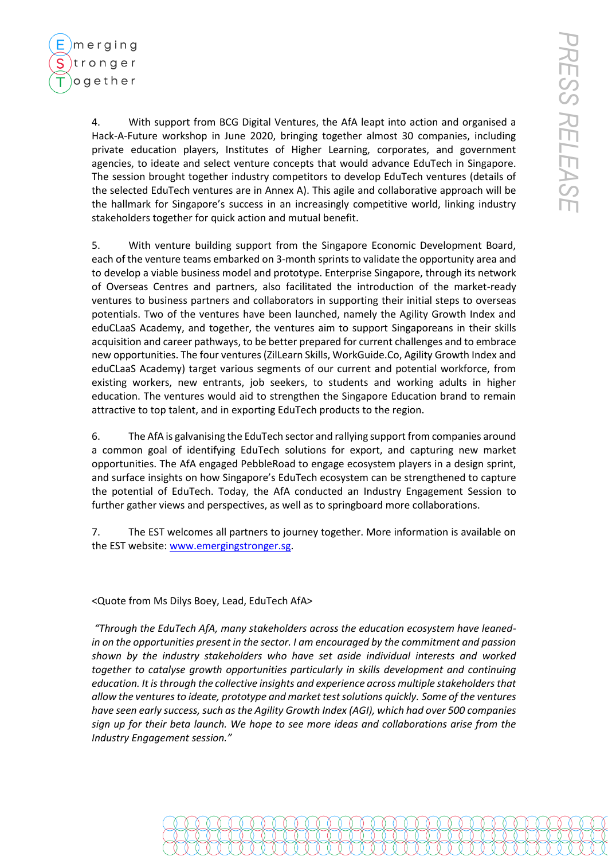

4. With support from BCG Digital Ventures, the AfA leapt into action and organised a Hack-A-Future workshop in June 2020, bringing together almost 30 companies, including private education players, Institutes of Higher Learning, corporates, and government agencies, to ideate and select venture concepts that would advance EduTech in Singapore. The session brought together industry competitors to develop EduTech ventures (details of the selected EduTech ventures are in Annex A). This agile and collaborative approach will be the hallmark for Singapore's success in an increasingly competitive world, linking industry stakeholders together for quick action and mutual benefit.

5. With venture building support from the Singapore Economic Development Board, each of the venture teams embarked on 3-month sprints to validate the opportunity area and to develop a viable business model and prototype. Enterprise Singapore, through its network of Overseas Centres and partners, also facilitated the introduction of the market-ready ventures to business partners and collaborators in supporting their initial steps to overseas potentials. Two of the ventures have been launched, namely the Agility Growth Index and eduCLaaS Academy, and together, the ventures aim to support Singaporeans in their skills acquisition and career pathways, to be better prepared for current challenges and to embrace new opportunities. The four ventures (ZilLearn Skills, WorkGuide.Co, Agility Growth Index and eduCLaaS Academy) target various segments of our current and potential workforce, from existing workers, new entrants, job seekers, to students and working adults in higher education. The ventures would aid to strengthen the Singapore Education brand to remain attractive to top talent, and in exporting EduTech products to the region.

6. The AfA is galvanising the EduTech sector and rallying support from companies around a common goal of identifying EduTech solutions for export, and capturing new market opportunities. The AfA engaged PebbleRoad to engage ecosystem players in a design sprint, and surface insights on how Singapore's EduTech ecosystem can be strengthened to capture the potential of EduTech. Today, the AfA conducted an Industry Engagement Session to further gather views and perspectives, as well as to springboard more collaborations.

7. The EST welcomes all partners to journey together. More information is available on the EST website: [www.emergingstronger.sg.](http://www.emergingstronger.sg/)

## <Quote from Ms Dilys Boey, Lead, EduTech AfA>

*"Through the EduTech AfA, many stakeholders across the education ecosystem have leanedin on the opportunities present in the sector. I am encouraged by the commitment and passion shown by the industry stakeholders who have set aside individual interests and worked together to catalyse growth opportunities particularly in skills development and continuing education. It is through the collective insights and experience across multiple stakeholders that allow the ventures to ideate, prototype and market testsolutions quickly. Some of the ventures have seen early success, such as the Agility Growth Index (AGI), which had over 500 companies sign up for their beta launch. We hope to see more ideas and collaborations arise from the Industry Engagement session."*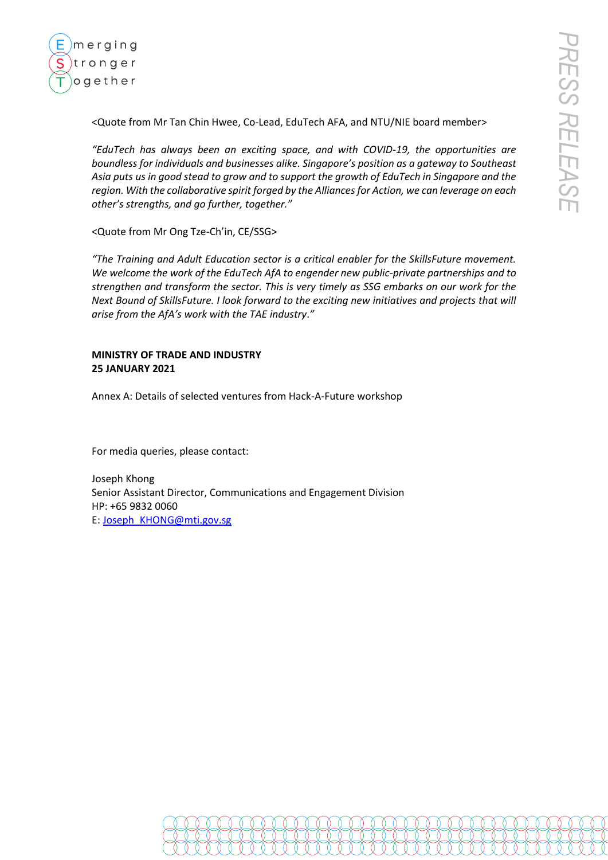

<Quote from Mr Tan Chin Hwee, Co-Lead, EduTech AFA, and NTU/NIE board member>

*"EduTech has always been an exciting space, and with COVID-19, the opportunities are boundless for individuals and businesses alike. Singapore's position as a gateway to Southeast Asia puts us in good stead to grow and to support the growth of EduTech in Singapore and the region. With the collaborative spirit forged by the Alliances for Action, we can leverage on each other's strengths, and go further, together."* 

<Quote from Mr Ong Tze-Ch'in, CE/SSG>

*"The Training and Adult Education sector is a critical enabler for the SkillsFuture movement. We welcome the work of the EduTech AfA to engender new public-private partnerships and to strengthen and transform the sector. This is very timely as SSG embarks on our work for the Next Bound of SkillsFuture. I look forward to the exciting new initiatives and projects that will arise from the AfA's work with the TAE industry*.*"*

## **MINISTRY OF TRADE AND INDUSTRY 25 JANUARY 2021**

Annex A: Details of selected ventures from Hack-A-Future workshop

For media queries, please contact:

Joseph Khong Senior Assistant Director, Communications and Engagement Division HP: +65 9832 0060 E[: Joseph\\_KHONG@mti.gov.sg](mailto:Joseph_KHONG@mti.gov.sg)

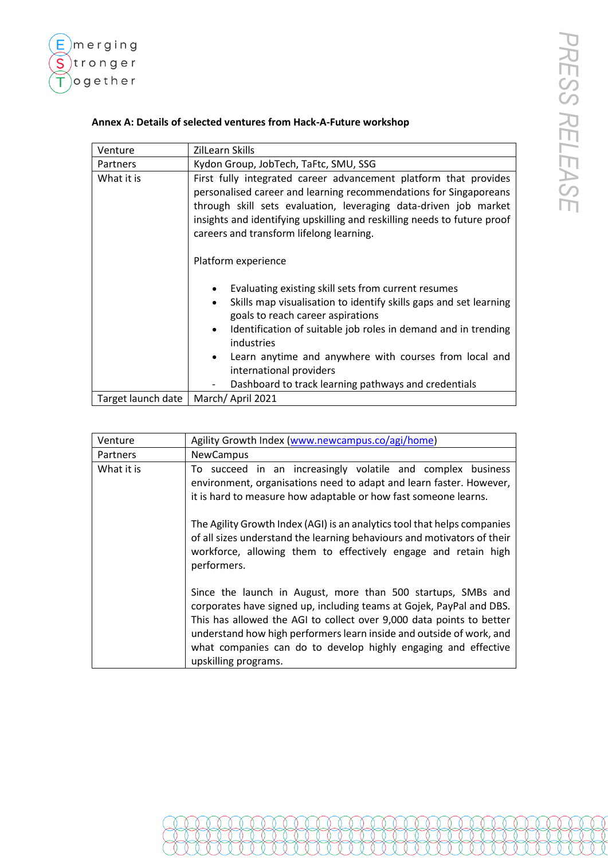

## **Annex A: Details of selected ventures from Hack-A-Future workshop**

| Venture            | ZilLearn Skills                                                                                                                                                                                                                                                                                                                                                                                                                   |
|--------------------|-----------------------------------------------------------------------------------------------------------------------------------------------------------------------------------------------------------------------------------------------------------------------------------------------------------------------------------------------------------------------------------------------------------------------------------|
| Partners           | Kydon Group, JobTech, TaFtc, SMU, SSG                                                                                                                                                                                                                                                                                                                                                                                             |
| What it is         | First fully integrated career advancement platform that provides<br>personalised career and learning recommendations for Singaporeans<br>through skill sets evaluation, leveraging data-driven job market<br>insights and identifying upskilling and reskilling needs to future proof<br>careers and transform lifelong learning.<br>Platform experience                                                                          |
|                    | Evaluating existing skill sets from current resumes<br>Skills map visualisation to identify skills gaps and set learning<br>$\bullet$<br>goals to reach career aspirations<br>Identification of suitable job roles in demand and in trending<br>$\bullet$<br>industries<br>Learn anytime and anywhere with courses from local and<br>$\bullet$<br>international providers<br>Dashboard to track learning pathways and credentials |
| Target launch date | March/April 2021                                                                                                                                                                                                                                                                                                                                                                                                                  |

| Venture    | Agility Growth Index (www.newcampus.co/agi/home)                                                                                                                                                                                                                                                                                                                               |
|------------|--------------------------------------------------------------------------------------------------------------------------------------------------------------------------------------------------------------------------------------------------------------------------------------------------------------------------------------------------------------------------------|
| Partners   | <b>NewCampus</b>                                                                                                                                                                                                                                                                                                                                                               |
| What it is | To succeed in an increasingly volatile and complex business<br>environment, organisations need to adapt and learn faster. However,<br>it is hard to measure how adaptable or how fast someone learns.                                                                                                                                                                          |
|            | The Agility Growth Index (AGI) is an analytics tool that helps companies<br>of all sizes understand the learning behaviours and motivators of their<br>workforce, allowing them to effectively engage and retain high<br>performers.                                                                                                                                           |
|            | Since the launch in August, more than 500 startups, SMBs and<br>corporates have signed up, including teams at Gojek, PayPal and DBS.<br>This has allowed the AGI to collect over 9,000 data points to better<br>understand how high performers learn inside and outside of work, and<br>what companies can do to develop highly engaging and effective<br>upskilling programs. |